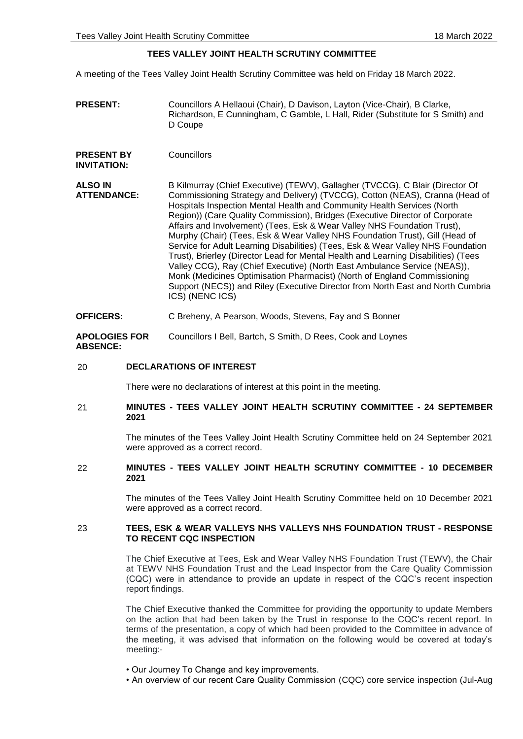# **TEES VALLEY JOINT HEALTH SCRUTINY COMMITTEE**

A meeting of the Tees Valley Joint Health Scrutiny Committee was held on Friday 18 March 2022.

- **PRESENT:** Councillors A Hellaoui (Chair), D Davison, Layton (Vice-Chair), B Clarke, Richardson, E Cunningham, C Gamble, L Hall, Rider (Substitute for S Smith) and D Coupe
- **PRESENT BY INVITATION: Councillors**

**ALSO IN ATTENDANCE:** B Kilmurray (Chief Executive) (TEWV), Gallagher (TVCCG), C Blair (Director Of Commissioning Strategy and Delivery) (TVCCG), Cotton (NEAS), Cranna (Head of Hospitals Inspection Mental Health and Community Health Services (North Region)) (Care Quality Commission), Bridges (Executive Director of Corporate Affairs and Involvement) (Tees, Esk & Wear Valley NHS Foundation Trust), Murphy (Chair) (Tees, Esk & Wear Valley NHS Foundation Trust), Gill (Head of Service for Adult Learning Disabilities) (Tees, Esk & Wear Valley NHS Foundation Trust), Brierley (Director Lead for Mental Health and Learning Disabilities) (Tees Valley CCG), Ray (Chief Executive) (North East Ambulance Service (NEAS)), Monk (Medicines Optimisation Pharmacist) (North of England Commissioning Support (NECS)) and Riley (Executive Director from North East and North Cumbria ICS) (NENC ICS)

### **OFFICERS:** C Breheny, A Pearson, Woods, Stevens, Fay and S Bonner

**APOLOGIES FOR ABSENCE:** Councillors I Bell, Bartch, S Smith, D Rees, Cook and Loynes

### 20 **DECLARATIONS OF INTEREST**

There were no declarations of interest at this point in the meeting.

### 21 **MINUTES - TEES VALLEY JOINT HEALTH SCRUTINY COMMITTEE - 24 SEPTEMBER 2021**

The minutes of the Tees Valley Joint Health Scrutiny Committee held on 24 September 2021 were approved as a correct record.

### 22 **MINUTES - TEES VALLEY JOINT HEALTH SCRUTINY COMMITTEE - 10 DECEMBER 2021**

The minutes of the Tees Valley Joint Health Scrutiny Committee held on 10 December 2021 were approved as a correct record.

# 23 **TEES, ESK & WEAR VALLEYS NHS VALLEYS NHS FOUNDATION TRUST - RESPONSE TO RECENT CQC INSPECTION**

The Chief Executive at Tees, Esk and Wear Valley NHS Foundation Trust (TEWV), the Chair at TEWV NHS Foundation Trust and the Lead Inspector from the Care Quality Commission (CQC) were in attendance to provide an update in respect of the CQC's recent inspection report findings.

The Chief Executive thanked the Committee for providing the opportunity to update Members on the action that had been taken by the Trust in response to the CQC's recent report. In terms of the presentation, a copy of which had been provided to the Committee in advance of the meeting, it was advised that information on the following would be covered at today's meeting:-

- Our Journey To Change and key improvements.
- An overview of our recent Care Quality Commission (CQC) core service inspection (Jul-Aug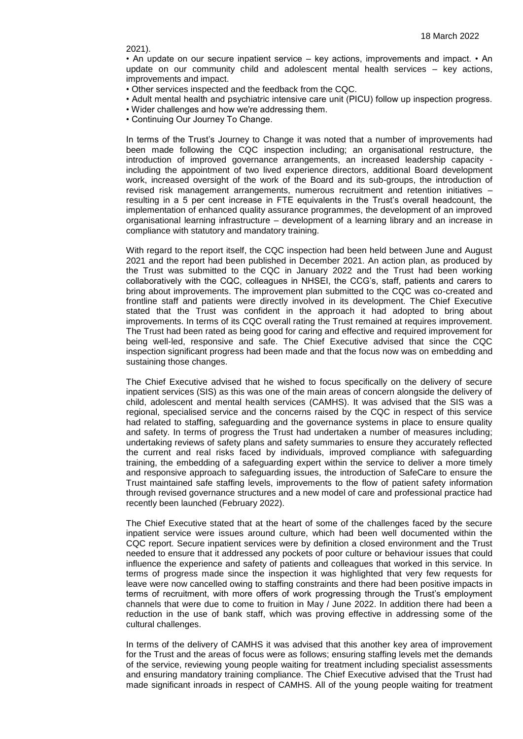2021).

• An update on our secure inpatient service – key actions, improvements and impact. • An update on our community child and adolescent mental health services – key actions, improvements and impact.

- Other services inspected and the feedback from the CQC.
- Adult mental health and psychiatric intensive care unit (PICU) follow up inspection progress.
- Wider challenges and how we're addressing them.
- Continuing Our Journey To Change.

In terms of the Trust's Journey to Change it was noted that a number of improvements had been made following the CQC inspection including; an organisational restructure, the introduction of improved governance arrangements, an increased leadership capacity including the appointment of two lived experience directors, additional Board development work, increased oversight of the work of the Board and its sub-groups, the introduction of revised risk management arrangements, numerous recruitment and retention initiatives – resulting in a 5 per cent increase in FTE equivalents in the Trust's overall headcount, the implementation of enhanced quality assurance programmes, the development of an improved organisational learning infrastructure – development of a learning library and an increase in compliance with statutory and mandatory training.

With regard to the report itself, the CQC inspection had been held between June and August 2021 and the report had been published in December 2021. An action plan, as produced by the Trust was submitted to the CQC in January 2022 and the Trust had been working collaboratively with the CQC, colleagues in NHSEI, the CCG's, staff, patients and carers to bring about improvements. The improvement plan submitted to the CQC was co-created and frontline staff and patients were directly involved in its development. The Chief Executive stated that the Trust was confident in the approach it had adopted to bring about improvements. In terms of its CQC overall rating the Trust remained at requires improvement. The Trust had been rated as being good for caring and effective and required improvement for being well-led, responsive and safe. The Chief Executive advised that since the CQC inspection significant progress had been made and that the focus now was on embedding and sustaining those changes.

The Chief Executive advised that he wished to focus specifically on the delivery of secure inpatient services (SIS) as this was one of the main areas of concern alongside the delivery of child, adolescent and mental health services (CAMHS). It was advised that the SIS was a regional, specialised service and the concerns raised by the CQC in respect of this service had related to staffing, safeguarding and the governance systems in place to ensure quality and safety. In terms of progress the Trust had undertaken a number of measures including; undertaking reviews of safety plans and safety summaries to ensure they accurately reflected the current and real risks faced by individuals, improved compliance with safeguarding training, the embedding of a safeguarding expert within the service to deliver a more timely and responsive approach to safeguarding issues, the introduction of SafeCare to ensure the Trust maintained safe staffing levels, improvements to the flow of patient safety information through revised governance structures and a new model of care and professional practice had recently been launched (February 2022).

The Chief Executive stated that at the heart of some of the challenges faced by the secure inpatient service were issues around culture, which had been well documented within the CQC report. Secure inpatient services were by definition a closed environment and the Trust needed to ensure that it addressed any pockets of poor culture or behaviour issues that could influence the experience and safety of patients and colleagues that worked in this service. In terms of progress made since the inspection it was highlighted that very few requests for leave were now cancelled owing to staffing constraints and there had been positive impacts in terms of recruitment, with more offers of work progressing through the Trust's employment channels that were due to come to fruition in May / June 2022. In addition there had been a reduction in the use of bank staff, which was proving effective in addressing some of the cultural challenges.

In terms of the delivery of CAMHS it was advised that this another key area of improvement for the Trust and the areas of focus were as follows; ensuring staffing levels met the demands of the service, reviewing young people waiting for treatment including specialist assessments and ensuring mandatory training compliance. The Chief Executive advised that the Trust had made significant inroads in respect of CAMHS. All of the young people waiting for treatment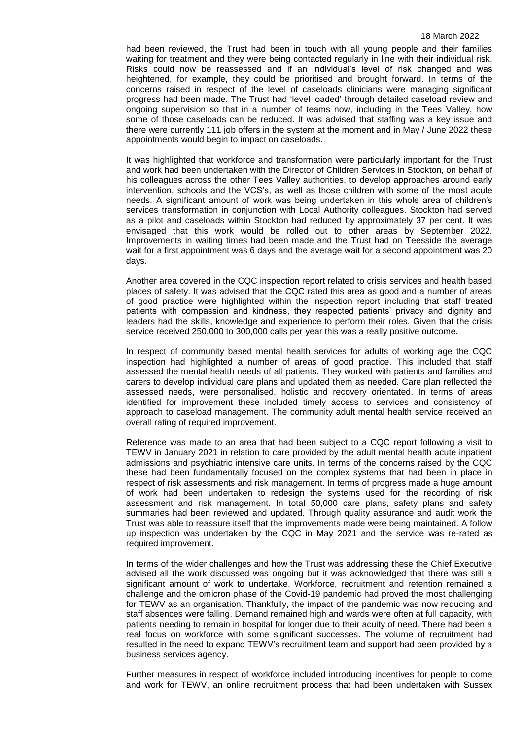had been reviewed, the Trust had been in touch with all young people and their families waiting for treatment and they were being contacted regularly in line with their individual risk. Risks could now be reassessed and if an individual's level of risk changed and was heightened, for example, they could be prioritised and brought forward. In terms of the concerns raised in respect of the level of caseloads clinicians were managing significant progress had been made. The Trust had 'level loaded' through detailed caseload review and ongoing supervision so that in a number of teams now, including in the Tees Valley, how some of those caseloads can be reduced. It was advised that staffing was a key issue and there were currently 111 job offers in the system at the moment and in May / June 2022 these appointments would begin to impact on caseloads.

It was highlighted that workforce and transformation were particularly important for the Trust and work had been undertaken with the Director of Children Services in Stockton, on behalf of his colleagues across the other Tees Valley authorities, to develop approaches around early intervention, schools and the VCS's, as well as those children with some of the most acute needs. A significant amount of work was being undertaken in this whole area of children's services transformation in conjunction with Local Authority colleagues. Stockton had served as a pilot and caseloads within Stockton had reduced by approximately 37 per cent. It was envisaged that this work would be rolled out to other areas by September 2022. Improvements in waiting times had been made and the Trust had on Teesside the average wait for a first appointment was 6 days and the average wait for a second appointment was 20 days.

Another area covered in the CQC inspection report related to crisis services and health based places of safety. It was advised that the CQC rated this area as good and a number of areas of good practice were highlighted within the inspection report including that staff treated patients with compassion and kindness, they respected patients' privacy and dignity and leaders had the skills, knowledge and experience to perform their roles. Given that the crisis service received 250,000 to 300,000 calls per year this was a really positive outcome.

In respect of community based mental health services for adults of working age the CQC inspection had highlighted a number of areas of good practice. This included that staff assessed the mental health needs of all patients. They worked with patients and families and carers to develop individual care plans and updated them as needed. Care plan reflected the assessed needs, were personalised, holistic and recovery orientated. In terms of areas identified for improvement these included timely access to services and consistency of approach to caseload management. The community adult mental health service received an overall rating of required improvement.

Reference was made to an area that had been subject to a CQC report following a visit to TEWV in January 2021 in relation to care provided by the adult mental health acute inpatient admissions and psychiatric intensive care units. In terms of the concerns raised by the CQC these had been fundamentally focused on the complex systems that had been in place in respect of risk assessments and risk management. In terms of progress made a huge amount of work had been undertaken to redesign the systems used for the recording of risk assessment and risk management. In total 50,000 care plans, safety plans and safety summaries had been reviewed and updated. Through quality assurance and audit work the Trust was able to reassure itself that the improvements made were being maintained. A follow up inspection was undertaken by the CQC in May 2021 and the service was re-rated as required improvement.

In terms of the wider challenges and how the Trust was addressing these the Chief Executive advised all the work discussed was ongoing but it was acknowledged that there was still a significant amount of work to undertake. Workforce, recruitment and retention remained a challenge and the omicron phase of the Covid-19 pandemic had proved the most challenging for TEWV as an organisation. Thankfully, the impact of the pandemic was now reducing and staff absences were falling. Demand remained high and wards were often at full capacity, with patients needing to remain in hospital for longer due to their acuity of need. There had been a real focus on workforce with some significant successes. The volume of recruitment had resulted in the need to expand TEWV's recruitment team and support had been provided by a business services agency.

Further measures in respect of workforce included introducing incentives for people to come and work for TEWV, an online recruitment process that had been undertaken with Sussex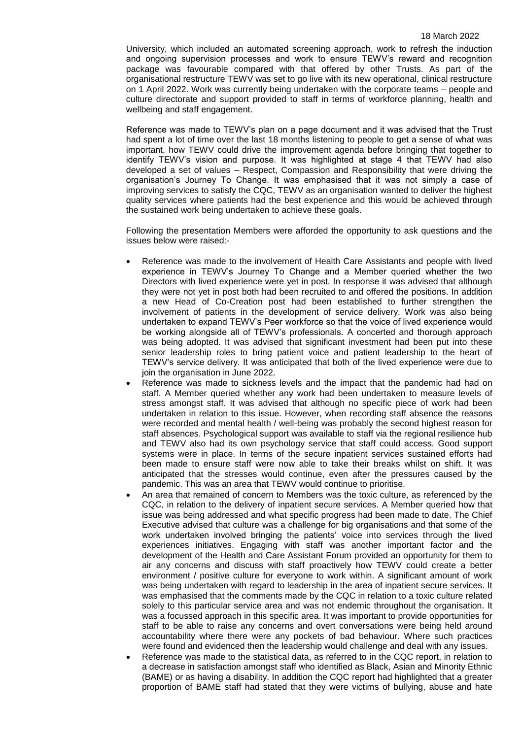University, which included an automated screening approach, work to refresh the induction and ongoing supervision processes and work to ensure TEWV's reward and recognition package was favourable compared with that offered by other Trusts. As part of the organisational restructure TEWV was set to go live with its new operational, clinical restructure on 1 April 2022. Work was currently being undertaken with the corporate teams – people and culture directorate and support provided to staff in terms of workforce planning, health and wellbeing and staff engagement.

Reference was made to TEWV's plan on a page document and it was advised that the Trust had spent a lot of time over the last 18 months listening to people to get a sense of what was important, how TEWV could drive the improvement agenda before bringing that together to identify TEWV's vision and purpose. It was highlighted at stage 4 that TEWV had also developed a set of values – Respect, Compassion and Responsibility that were driving the organisation's Journey To Change. It was emphasised that it was not simply a case of improving services to satisfy the CQC, TEWV as an organisation wanted to deliver the highest quality services where patients had the best experience and this would be achieved through the sustained work being undertaken to achieve these goals.

Following the presentation Members were afforded the opportunity to ask questions and the issues below were raised:-

- Reference was made to the involvement of Health Care Assistants and people with lived experience in TEWV's Journey To Change and a Member queried whether the two Directors with lived experience were yet in post. In response it was advised that although they were not yet in post both had been recruited to and offered the positions. In addition a new Head of Co-Creation post had been established to further strengthen the involvement of patients in the development of service delivery. Work was also being undertaken to expand TEWV's Peer workforce so that the voice of lived experience would be working alongside all of TEWV's professionals. A concerted and thorough approach was being adopted. It was advised that significant investment had been put into these senior leadership roles to bring patient voice and patient leadership to the heart of TEWV's service delivery. It was anticipated that both of the lived experience were due to join the organisation in June 2022.
- Reference was made to sickness levels and the impact that the pandemic had had on staff. A Member queried whether any work had been undertaken to measure levels of stress amongst staff. It was advised that although no specific piece of work had been undertaken in relation to this issue. However, when recording staff absence the reasons were recorded and mental health / well-being was probably the second highest reason for staff absences. Psychological support was available to staff via the regional resilience hub and TEWV also had its own psychology service that staff could access. Good support systems were in place. In terms of the secure inpatient services sustained efforts had been made to ensure staff were now able to take their breaks whilst on shift. It was anticipated that the stresses would continue, even after the pressures caused by the pandemic. This was an area that TEWV would continue to prioritise.
- An area that remained of concern to Members was the toxic culture, as referenced by the CQC, in relation to the delivery of inpatient secure services. A Member queried how that issue was being addressed and what specific progress had been made to date. The Chief Executive advised that culture was a challenge for big organisations and that some of the work undertaken involved bringing the patients' voice into services through the lived experiences initiatives. Engaging with staff was another important factor and the development of the Health and Care Assistant Forum provided an opportunity for them to air any concerns and discuss with staff proactively how TEWV could create a better environment / positive culture for everyone to work within. A significant amount of work was being undertaken with regard to leadership in the area of inpatient secure services. It was emphasised that the comments made by the CQC in relation to a toxic culture related solely to this particular service area and was not endemic throughout the organisation. It was a focussed approach in this specific area. It was important to provide opportunities for staff to be able to raise any concerns and overt conversations were being held around accountability where there were any pockets of bad behaviour. Where such practices were found and evidenced then the leadership would challenge and deal with any issues.
- Reference was made to the statistical data, as referred to in the CQC report, in relation to a decrease in satisfaction amongst staff who identified as Black, Asian and Minority Ethnic (BAME) or as having a disability. In addition the CQC report had highlighted that a greater proportion of BAME staff had stated that they were victims of bullying, abuse and hate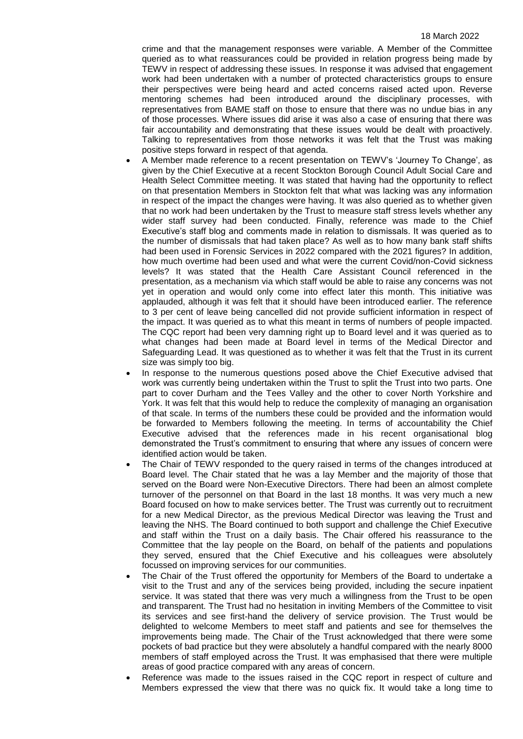crime and that the management responses were variable. A Member of the Committee queried as to what reassurances could be provided in relation progress being made by TEWV in respect of addressing these issues. In response it was advised that engagement work had been undertaken with a number of protected characteristics groups to ensure their perspectives were being heard and acted concerns raised acted upon. Reverse mentoring schemes had been introduced around the disciplinary processes, with representatives from BAME staff on those to ensure that there was no undue bias in any of those processes. Where issues did arise it was also a case of ensuring that there was fair accountability and demonstrating that these issues would be dealt with proactively. Talking to representatives from those networks it was felt that the Trust was making positive steps forward in respect of that agenda.

- A Member made reference to a recent presentation on TEWV's 'Journey To Change', as given by the Chief Executive at a recent Stockton Borough Council Adult Social Care and Health Select Committee meeting. It was stated that having had the opportunity to reflect on that presentation Members in Stockton felt that what was lacking was any information in respect of the impact the changes were having. It was also queried as to whether given that no work had been undertaken by the Trust to measure staff stress levels whether any wider staff survey had been conducted. Finally, reference was made to the Chief Executive's staff blog and comments made in relation to dismissals. It was queried as to the number of dismissals that had taken place? As well as to how many bank staff shifts had been used in Forensic Services in 2022 compared with the 2021 figures? In addition, how much overtime had been used and what were the current Covid/non-Covid sickness levels? It was stated that the Health Care Assistant Council referenced in the presentation, as a mechanism via which staff would be able to raise any concerns was not yet in operation and would only come into effect later this month. This initiative was applauded, although it was felt that it should have been introduced earlier. The reference to 3 per cent of leave being cancelled did not provide sufficient information in respect of the impact. It was queried as to what this meant in terms of numbers of people impacted. The CQC report had been very damning right up to Board level and it was queried as to what changes had been made at Board level in terms of the Medical Director and Safeguarding Lead. It was questioned as to whether it was felt that the Trust in its current size was simply too big.
- In response to the numerous questions posed above the Chief Executive advised that work was currently being undertaken within the Trust to split the Trust into two parts. One part to cover Durham and the Tees Valley and the other to cover North Yorkshire and York. It was felt that this would help to reduce the complexity of managing an organisation of that scale. In terms of the numbers these could be provided and the information would be forwarded to Members following the meeting. In terms of accountability the Chief Executive advised that the references made in his recent organisational blog demonstrated the Trust's commitment to ensuring that where any issues of concern were identified action would be taken.
- The Chair of TEWV responded to the query raised in terms of the changes introduced at Board level. The Chair stated that he was a lay Member and the majority of those that served on the Board were Non-Executive Directors. There had been an almost complete turnover of the personnel on that Board in the last 18 months. It was very much a new Board focused on how to make services better. The Trust was currently out to recruitment for a new Medical Director, as the previous Medical Director was leaving the Trust and leaving the NHS. The Board continued to both support and challenge the Chief Executive and staff within the Trust on a daily basis. The Chair offered his reassurance to the Committee that the lay people on the Board, on behalf of the patients and populations they served, ensured that the Chief Executive and his colleagues were absolutely focussed on improving services for our communities.
- The Chair of the Trust offered the opportunity for Members of the Board to undertake a visit to the Trust and any of the services being provided, including the secure inpatient service. It was stated that there was very much a willingness from the Trust to be open and transparent. The Trust had no hesitation in inviting Members of the Committee to visit its services and see first-hand the delivery of service provision. The Trust would be delighted to welcome Members to meet staff and patients and see for themselves the improvements being made. The Chair of the Trust acknowledged that there were some pockets of bad practice but they were absolutely a handful compared with the nearly 8000 members of staff employed across the Trust. It was emphasised that there were multiple areas of good practice compared with any areas of concern.
- Reference was made to the issues raised in the CQC report in respect of culture and Members expressed the view that there was no quick fix. It would take a long time to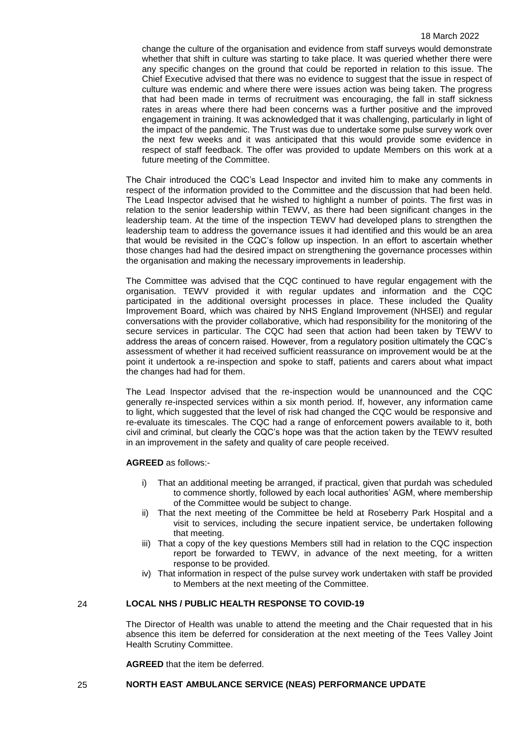#### 18 March 2022

change the culture of the organisation and evidence from staff surveys would demonstrate whether that shift in culture was starting to take place. It was queried whether there were any specific changes on the ground that could be reported in relation to this issue. The Chief Executive advised that there was no evidence to suggest that the issue in respect of culture was endemic and where there were issues action was being taken. The progress that had been made in terms of recruitment was encouraging, the fall in staff sickness rates in areas where there had been concerns was a further positive and the improved engagement in training. It was acknowledged that it was challenging, particularly in light of the impact of the pandemic. The Trust was due to undertake some pulse survey work over the next few weeks and it was anticipated that this would provide some evidence in respect of staff feedback. The offer was provided to update Members on this work at a future meeting of the Committee.

The Chair introduced the CQC's Lead Inspector and invited him to make any comments in respect of the information provided to the Committee and the discussion that had been held. The Lead Inspector advised that he wished to highlight a number of points. The first was in relation to the senior leadership within TEWV, as there had been significant changes in the leadership team. At the time of the inspection TEWV had developed plans to strengthen the leadership team to address the governance issues it had identified and this would be an area that would be revisited in the CQC's follow up inspection. In an effort to ascertain whether those changes had had the desired impact on strengthening the governance processes within the organisation and making the necessary improvements in leadership.

The Committee was advised that the CQC continued to have regular engagement with the organisation. TEWV provided it with regular updates and information and the CQC participated in the additional oversight processes in place. These included the Quality Improvement Board, which was chaired by NHS England Improvement (NHSEI) and regular conversations with the provider collaborative, which had responsibility for the monitoring of the secure services in particular. The CQC had seen that action had been taken by TEWV to address the areas of concern raised. However, from a regulatory position ultimately the CQC's assessment of whether it had received sufficient reassurance on improvement would be at the point it undertook a re-inspection and spoke to staff, patients and carers about what impact the changes had had for them.

The Lead Inspector advised that the re-inspection would be unannounced and the CQC generally re-inspected services within a six month period. If, however, any information came to light, which suggested that the level of risk had changed the CQC would be responsive and re-evaluate its timescales. The CQC had a range of enforcement powers available to it, both civil and criminal, but clearly the CQC's hope was that the action taken by the TEWV resulted in an improvement in the safety and quality of care people received.

**AGREED** as follows:-

- i) That an additional meeting be arranged, if practical, given that purdah was scheduled to commence shortly, followed by each local authorities' AGM, where membership of the Committee would be subject to change.
- ii) That the next meeting of the Committee be held at Roseberry Park Hospital and a visit to services, including the secure inpatient service, be undertaken following that meeting.
- iii) That a copy of the key questions Members still had in relation to the CQC inspection report be forwarded to TEWV, in advance of the next meeting, for a written response to be provided.
- iv) That information in respect of the pulse survey work undertaken with staff be provided to Members at the next meeting of the Committee.

### 24 **LOCAL NHS / PUBLIC HEALTH RESPONSE TO COVID-19**

The Director of Health was unable to attend the meeting and the Chair requested that in his absence this item be deferred for consideration at the next meeting of the Tees Valley Joint Health Scrutiny Committee.

**AGREED** that the item be deferred.

#### 25 **NORTH EAST AMBULANCE SERVICE (NEAS) PERFORMANCE UPDATE**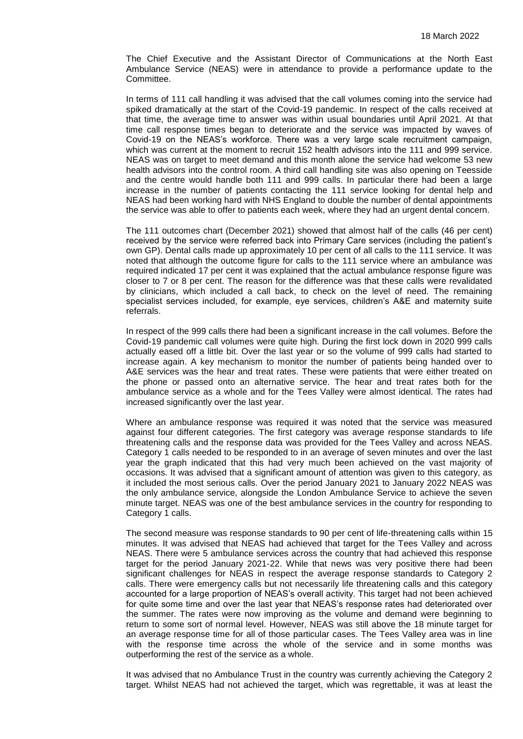The Chief Executive and the Assistant Director of Communications at the North East Ambulance Service (NEAS) were in attendance to provide a performance update to the Committee.

In terms of 111 call handling it was advised that the call volumes coming into the service had spiked dramatically at the start of the Covid-19 pandemic. In respect of the calls received at that time, the average time to answer was within usual boundaries until April 2021. At that time call response times began to deteriorate and the service was impacted by waves of Covid-19 on the NEAS's workforce. There was a very large scale recruitment campaign, which was current at the moment to recruit 152 health advisors into the 111 and 999 service. NEAS was on target to meet demand and this month alone the service had welcome 53 new health advisors into the control room. A third call handling site was also opening on Teesside and the centre would handle both 111 and 999 calls. In particular there had been a large increase in the number of patients contacting the 111 service looking for dental help and NEAS had been working hard with NHS England to double the number of dental appointments the service was able to offer to patients each week, where they had an urgent dental concern.

The 111 outcomes chart (December 2021) showed that almost half of the calls (46 per cent) received by the service were referred back into Primary Care services (including the patient's own GP). Dental calls made up approximately 10 per cent of all calls to the 111 service. It was noted that although the outcome figure for calls to the 111 service where an ambulance was required indicated 17 per cent it was explained that the actual ambulance response figure was closer to 7 or 8 per cent. The reason for the difference was that these calls were revalidated by clinicians, which included a call back, to check on the level of need. The remaining specialist services included, for example, eye services, children's A&E and maternity suite referrals.

In respect of the 999 calls there had been a significant increase in the call volumes. Before the Covid-19 pandemic call volumes were quite high. During the first lock down in 2020 999 calls actually eased off a little bit. Over the last year or so the volume of 999 calls had started to increase again. A key mechanism to monitor the number of patients being handed over to A&E services was the hear and treat rates. These were patients that were either treated on the phone or passed onto an alternative service. The hear and treat rates both for the ambulance service as a whole and for the Tees Valley were almost identical. The rates had increased significantly over the last year.

Where an ambulance response was required it was noted that the service was measured against four different categories. The first category was average response standards to life threatening calls and the response data was provided for the Tees Valley and across NEAS. Category 1 calls needed to be responded to in an average of seven minutes and over the last year the graph indicated that this had very much been achieved on the vast majority of occasions. It was advised that a significant amount of attention was given to this category, as it included the most serious calls. Over the period January 2021 to January 2022 NEAS was the only ambulance service, alongside the London Ambulance Service to achieve the seven minute target. NEAS was one of the best ambulance services in the country for responding to Category 1 calls.

The second measure was response standards to 90 per cent of life-threatening calls within 15 minutes. It was advised that NEAS had achieved that target for the Tees Valley and across NEAS. There were 5 ambulance services across the country that had achieved this response target for the period January 2021-22. While that news was very positive there had been significant challenges for NEAS in respect the average response standards to Category 2 calls. There were emergency calls but not necessarily life threatening calls and this category accounted for a large proportion of NEAS's overall activity. This target had not been achieved for quite some time and over the last year that NEAS's response rates had deteriorated over the summer. The rates were now improving as the volume and demand were beginning to return to some sort of normal level. However, NEAS was still above the 18 minute target for an average response time for all of those particular cases. The Tees Valley area was in line with the response time across the whole of the service and in some months was outperforming the rest of the service as a whole.

It was advised that no Ambulance Trust in the country was currently achieving the Category 2 target. Whilst NEAS had not achieved the target, which was regrettable, it was at least the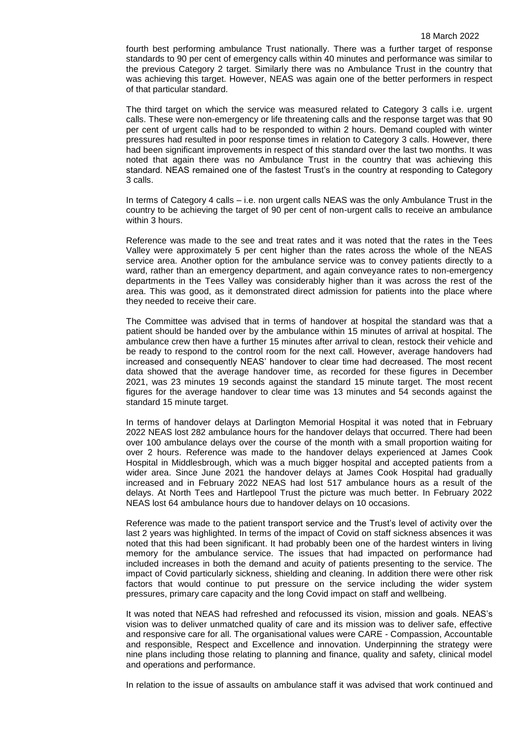fourth best performing ambulance Trust nationally. There was a further target of response standards to 90 per cent of emergency calls within 40 minutes and performance was similar to the previous Category 2 target. Similarly there was no Ambulance Trust in the country that was achieving this target. However, NEAS was again one of the better performers in respect of that particular standard.

The third target on which the service was measured related to Category 3 calls i.e. urgent calls. These were non-emergency or life threatening calls and the response target was that 90 per cent of urgent calls had to be responded to within 2 hours. Demand coupled with winter pressures had resulted in poor response times in relation to Category 3 calls. However, there had been significant improvements in respect of this standard over the last two months. It was noted that again there was no Ambulance Trust in the country that was achieving this standard. NEAS remained one of the fastest Trust's in the country at responding to Category 3 calls.

In terms of Category 4 calls – i.e. non urgent calls NEAS was the only Ambulance Trust in the country to be achieving the target of 90 per cent of non-urgent calls to receive an ambulance within 3 hours.

Reference was made to the see and treat rates and it was noted that the rates in the Tees Valley were approximately 5 per cent higher than the rates across the whole of the NEAS service area. Another option for the ambulance service was to convey patients directly to a ward, rather than an emergency department, and again conveyance rates to non-emergency departments in the Tees Valley was considerably higher than it was across the rest of the area. This was good, as it demonstrated direct admission for patients into the place where they needed to receive their care.

The Committee was advised that in terms of handover at hospital the standard was that a patient should be handed over by the ambulance within 15 minutes of arrival at hospital. The ambulance crew then have a further 15 minutes after arrival to clean, restock their vehicle and be ready to respond to the control room for the next call. However, average handovers had increased and consequently NEAS' handover to clear time had decreased. The most recent data showed that the average handover time, as recorded for these figures in December 2021, was 23 minutes 19 seconds against the standard 15 minute target. The most recent figures for the average handover to clear time was 13 minutes and 54 seconds against the standard 15 minute target.

In terms of handover delays at Darlington Memorial Hospital it was noted that in February 2022 NEAS lost 282 ambulance hours for the handover delays that occurred. There had been over 100 ambulance delays over the course of the month with a small proportion waiting for over 2 hours. Reference was made to the handover delays experienced at James Cook Hospital in Middlesbrough, which was a much bigger hospital and accepted patients from a wider area. Since June 2021 the handover delays at James Cook Hospital had gradually increased and in February 2022 NEAS had lost 517 ambulance hours as a result of the delays. At North Tees and Hartlepool Trust the picture was much better. In February 2022 NEAS lost 64 ambulance hours due to handover delays on 10 occasions.

Reference was made to the patient transport service and the Trust's level of activity over the last 2 years was highlighted. In terms of the impact of Covid on staff sickness absences it was noted that this had been significant. It had probably been one of the hardest winters in living memory for the ambulance service. The issues that had impacted on performance had included increases in both the demand and acuity of patients presenting to the service. The impact of Covid particularly sickness, shielding and cleaning. In addition there were other risk factors that would continue to put pressure on the service including the wider system pressures, primary care capacity and the long Covid impact on staff and wellbeing.

It was noted that NEAS had refreshed and refocussed its vision, mission and goals. NEAS's vision was to deliver unmatched quality of care and its mission was to deliver safe, effective and responsive care for all. The organisational values were CARE - Compassion, Accountable and responsible, Respect and Excellence and innovation. Underpinning the strategy were nine plans including those relating to planning and finance, quality and safety, clinical model and operations and performance.

In relation to the issue of assaults on ambulance staff it was advised that work continued and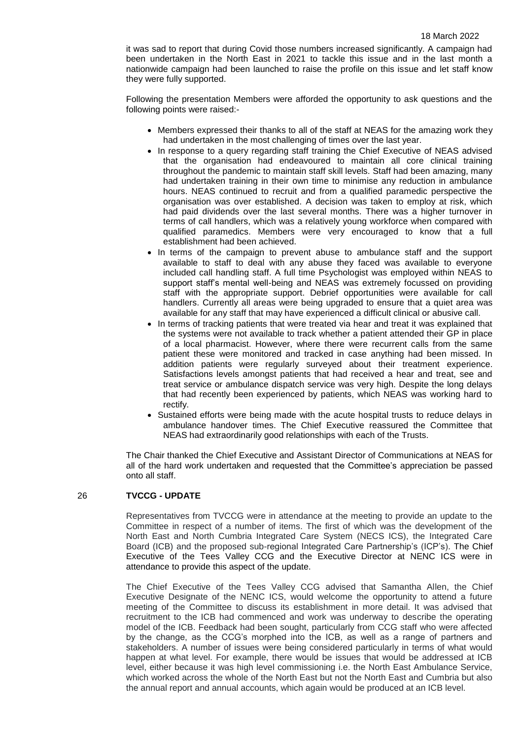it was sad to report that during Covid those numbers increased significantly. A campaign had been undertaken in the North East in 2021 to tackle this issue and in the last month a nationwide campaign had been launched to raise the profile on this issue and let staff know they were fully supported.

Following the presentation Members were afforded the opportunity to ask questions and the following points were raised:-

- Members expressed their thanks to all of the staff at NEAS for the amazing work they had undertaken in the most challenging of times over the last year.
- In response to a query regarding staff training the Chief Executive of NEAS advised that the organisation had endeavoured to maintain all core clinical training throughout the pandemic to maintain staff skill levels. Staff had been amazing, many had undertaken training in their own time to minimise any reduction in ambulance hours. NEAS continued to recruit and from a qualified paramedic perspective the organisation was over established. A decision was taken to employ at risk, which had paid dividends over the last several months. There was a higher turnover in terms of call handlers, which was a relatively young workforce when compared with qualified paramedics. Members were very encouraged to know that a full establishment had been achieved.
- In terms of the campaign to prevent abuse to ambulance staff and the support available to staff to deal with any abuse they faced was available to everyone included call handling staff. A full time Psychologist was employed within NEAS to support staff's mental well-being and NEAS was extremely focussed on providing staff with the appropriate support. Debrief opportunities were available for call handlers. Currently all areas were being upgraded to ensure that a quiet area was available for any staff that may have experienced a difficult clinical or abusive call.
- In terms of tracking patients that were treated via hear and treat it was explained that the systems were not available to track whether a patient attended their GP in place of a local pharmacist. However, where there were recurrent calls from the same patient these were monitored and tracked in case anything had been missed. In addition patients were regularly surveyed about their treatment experience. Satisfactions levels amongst patients that had received a hear and treat, see and treat service or ambulance dispatch service was very high. Despite the long delays that had recently been experienced by patients, which NEAS was working hard to rectify.
- Sustained efforts were being made with the acute hospital trusts to reduce delays in ambulance handover times. The Chief Executive reassured the Committee that NEAS had extraordinarily good relationships with each of the Trusts.

The Chair thanked the Chief Executive and Assistant Director of Communications at NEAS for all of the hard work undertaken and requested that the Committee's appreciation be passed onto all staff.

### 26 **TVCCG - UPDATE**

Representatives from TVCCG were in attendance at the meeting to provide an update to the Committee in respect of a number of items. The first of which was the development of the North East and North Cumbria Integrated Care System (NECS ICS), the Integrated Care Board (ICB) and the proposed sub-regional Integrated Care Partnership's (ICP's). The Chief Executive of the Tees Valley CCG and the Executive Director at NENC ICS were in attendance to provide this aspect of the update.

The Chief Executive of the Tees Valley CCG advised that Samantha Allen, the Chief Executive Designate of the NENC ICS, would welcome the opportunity to attend a future meeting of the Committee to discuss its establishment in more detail. It was advised that recruitment to the ICB had commenced and work was underway to describe the operating model of the ICB. Feedback had been sought, particularly from CCG staff who were affected by the change, as the CCG's morphed into the ICB, as well as a range of partners and stakeholders. A number of issues were being considered particularly in terms of what would happen at what level. For example, there would be issues that would be addressed at ICB level, either because it was high level commissioning i.e. the North East Ambulance Service, which worked across the whole of the North East but not the North East and Cumbria but also the annual report and annual accounts, which again would be produced at an ICB level.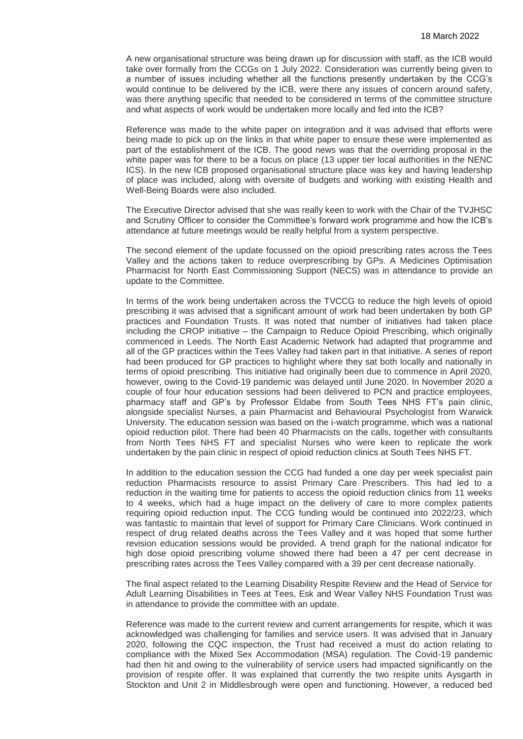A new organisational structure was being drawn up for discussion with staff, as the ICB would take over formally from the CCGs on 1 July 2022. Consideration was currently being given to a number of issues including whether all the functions presently undertaken by the CCG's would continue to be delivered by the ICB, were there any issues of concern around safety, was there anything specific that needed to be considered in terms of the committee structure and what aspects of work would be undertaken more locally and fed into the ICB?

Reference was made to the white paper on integration and it was advised that efforts were being made to pick up on the links in that white paper to ensure these were implemented as part of the establishment of the ICB. The good news was that the overriding proposal in the white paper was for there to be a focus on place (13 upper tier local authorities in the NENC ICS). In the new ICB proposed organisational structure place was key and having leadership of place was included, along with oversite of budgets and working with existing Health and Well-Being Boards were also included.

The Executive Director advised that she was really keen to work with the Chair of the TVJHSC and Scrutiny Officer to consider the Committee's forward work programme and how the ICB's attendance at future meetings would be really helpful from a system perspective.

The second element of the update focussed on the opioid prescribing rates across the Tees Valley and the actions taken to reduce overprescribing by GPs. A Medicines Optimisation Pharmacist for North East Commissioning Support (NECS) was in attendance to provide an update to the Committee.

In terms of the work being undertaken across the TVCCG to reduce the high levels of opioid prescribing it was advised that a significant amount of work had been undertaken by both GP practices and Foundation Trusts. It was noted that number of initiatives had taken place including the CROP initiative – the Campaign to Reduce Opioid Prescribing, which originally commenced in Leeds. The North East Academic Network had adapted that programme and all of the GP practices within the Tees Valley had taken part in that initiative. A series of report had been produced for GP practices to highlight where they sat both locally and nationally in terms of opioid prescribing. This initiative had originally been due to commence in April 2020, however, owing to the Covid-19 pandemic was delayed until June 2020. In November 2020 a couple of four hour education sessions had been delivered to PCN and practice employees, pharmacy staff and GP's by Professor Eldabe from South Tees NHS FT's pain clinic, alongside specialist Nurses, a pain Pharmacist and Behavioural Psychologist from Warwick University. The education session was based on the i-watch programme, which was a national opioid reduction pilot. There had been 40 Pharmacists on the calls, together with consultants from North Tees NHS FT and specialist Nurses who were keen to replicate the work undertaken by the pain clinic in respect of opioid reduction clinics at South Tees NHS FT.

In addition to the education session the CCG had funded a one day per week specialist pain reduction Pharmacists resource to assist Primary Care Prescribers. This had led to a reduction in the waiting time for patients to access the opioid reduction clinics from 11 weeks to 4 weeks, which had a huge impact on the delivery of care to more complex patients requiring opioid reduction input. The CCG funding would be continued into 2022/23, which was fantastic to maintain that level of support for Primary Care Clinicians. Work continued in respect of drug related deaths across the Tees Valley and it was hoped that some further revision education sessions would be provided. A trend graph for the national indicator for high dose opioid prescribing volume showed there had been a 47 per cent decrease in prescribing rates across the Tees Valley compared with a 39 per cent decrease nationally.

The final aspect related to the Learning Disability Respite Review and the Head of Service for Adult Learning Disabilities in Tees at Tees, Esk and Wear Valley NHS Foundation Trust was in attendance to provide the committee with an update.

Reference was made to the current review and current arrangements for respite, which it was acknowledged was challenging for families and service users. It was advised that in January 2020, following the CQC inspection, the Trust had received a must do action relating to compliance with the Mixed Sex Accommodation (MSA) regulation. The Covid-19 pandemic had then hit and owing to the vulnerability of service users had impacted significantly on the provision of respite offer. It was explained that currently the two respite units Aysgarth in Stockton and Unit 2 in Middlesbrough were open and functioning. However, a reduced bed